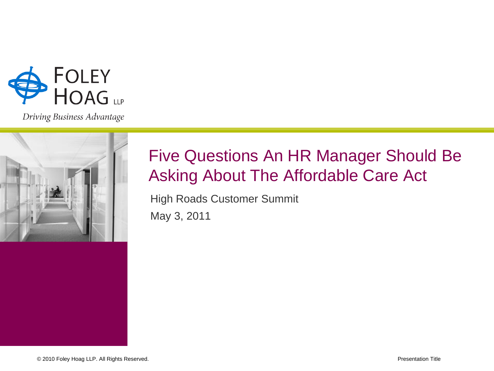

Driving Business Advantage



### Five Questions An HR Manager Should Be Asking About The Affordable Care Act

High Roads Customer Summit May 3, 2011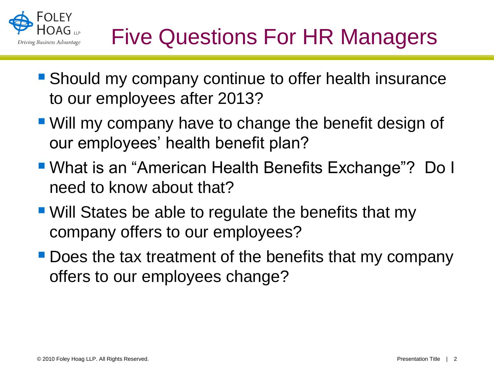

- **Should my company continue to offer health insurance** to our employees after 2013?
- Will my company have to change the benefit design of our employees' health benefit plan?
- What is an "American Health Benefits Exchange"? Do I need to know about that?
- Will States be able to regulate the benefits that my company offers to our employees?
- **Does the tax treatment of the benefits that my company** offers to our employees change?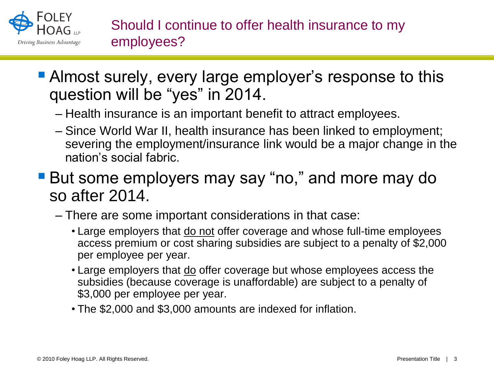

- **Almost surely, every large employer's response to this** question will be "yes" in 2014.
	- Health insurance is an important benefit to attract employees.
	- Since World War II, health insurance has been linked to employment; severing the employment/insurance link would be a major change in the nation's social fabric.
- **But some employers may say "no," and more may do** so after 2014.
	- There are some important considerations in that case:
		- Large employers that do not offer coverage and whose full-time employees access premium or cost sharing subsidies are subject to a penalty of \$2,000 per employee per year.
		- Large employers that do offer coverage but whose employees access the subsidies (because coverage is unaffordable) are subject to a penalty of \$3,000 per employee per year.
		- The \$2,000 and \$3,000 amounts are indexed for inflation.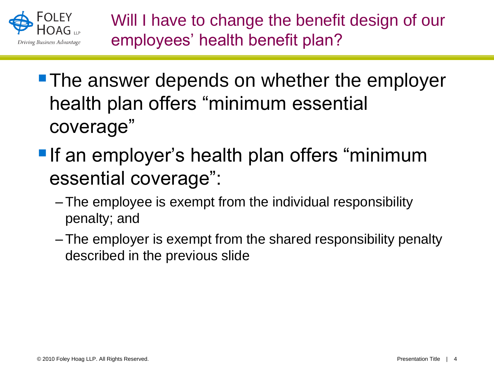

Will I have to change the benefit design of our employees' health benefit plan?

- **The answer depends on whether the employer** health plan offers "minimum essential coverage"
- **If an employer's health plan offers "minimum"** essential coverage":
	- –The employee is exempt from the individual responsibility penalty; and
	- –The employer is exempt from the shared responsibility penalty described in the previous slide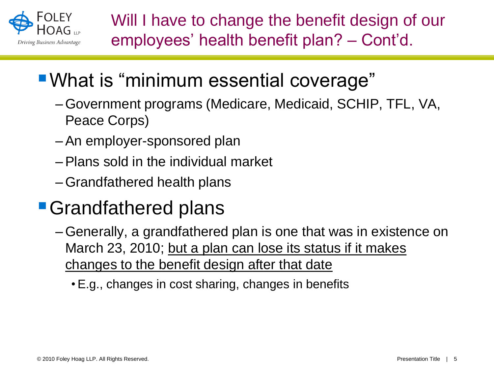

# What is "minimum essential coverage"

- –Government programs (Medicare, Medicaid, SCHIP, TFL, VA, Peace Corps)
- –An employer-sponsored plan
- –Plans sold in the individual market
- –Grandfathered health plans

## **Grandfathered plans**

- –Generally, a grandfathered plan is one that was in existence on March 23, 2010; but a plan can lose its status if it makes changes to the benefit design after that date
	- •E.g., changes in cost sharing, changes in benefits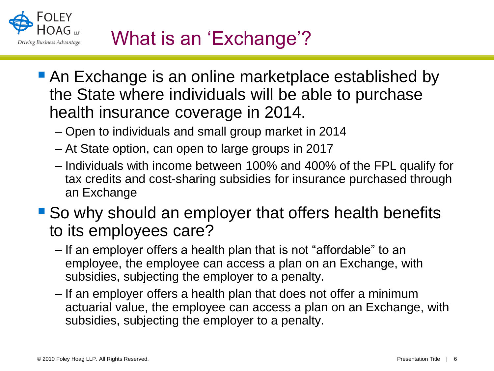

- An Exchange is an online marketplace established by the State where individuals will be able to purchase health insurance coverage in 2014.
	- Open to individuals and small group market in 2014
	- At State option, can open to large groups in 2017
	- Individuals with income between 100% and 400% of the FPL qualify for tax credits and cost-sharing subsidies for insurance purchased through an Exchange
- So why should an employer that offers health benefits to its employees care?
	- If an employer offers a health plan that is not "affordable" to an employee, the employee can access a plan on an Exchange, with subsidies, subjecting the employer to a penalty.
	- If an employer offers a health plan that does not offer a minimum actuarial value, the employee can access a plan on an Exchange, with subsidies, subjecting the employer to a penalty.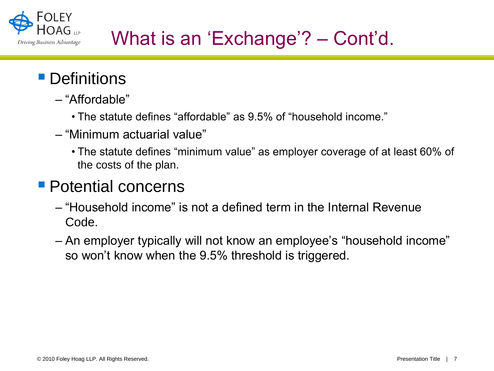

## What is an 'Exchange'? – Cont'd.

### **Definitions**

- "Affordable"
	- The statute defines "affordable" as 9.5% of "household income."
- "Minimum actuarial value"
	- The statute defines "minimum value" as employer coverage of at least 60% of the costs of the plan.

#### **Potential concerns**

- "Household income" is not a defined term in the Internal Revenue Code.
- An employer typically will not know an employee's "household income" so won't know when the 9.5% threshold is triggered.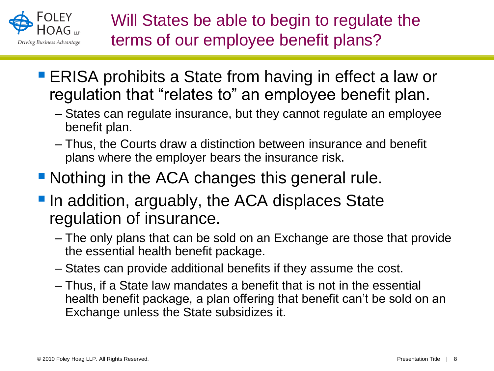

- ERISA prohibits a State from having in effect a law or regulation that "relates to" an employee benefit plan.
	- States can regulate insurance, but they cannot regulate an employee benefit plan.
	- Thus, the Courts draw a distinction between insurance and benefit plans where the employer bears the insurance risk.
- Nothing in the ACA changes this general rule.
- **In addition, arguably, the ACA displaces State** regulation of insurance.
	- The only plans that can be sold on an Exchange are those that provide the essential health benefit package.
	- States can provide additional benefits if they assume the cost.
	- Thus, if a State law mandates a benefit that is not in the essential health benefit package, a plan offering that benefit can't be sold on an Exchange unless the State subsidizes it.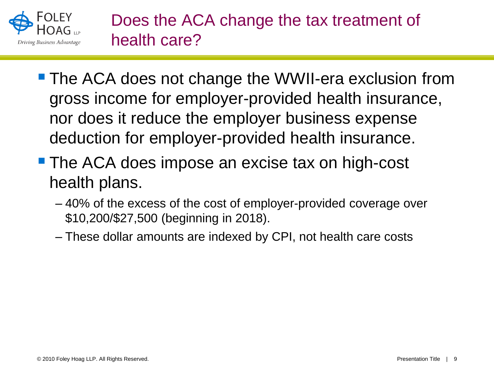

Does the ACA change the tax treatment of health care?

- **The ACA does not change the WWII-era exclusion from** gross income for employer-provided health insurance, nor does it reduce the employer business expense deduction for employer-provided health insurance.
- **The ACA does impose an excise tax on high-cost** health plans.
	- 40% of the excess of the cost of employer-provided coverage over \$10,200/\$27,500 (beginning in 2018).
	- These dollar amounts are indexed by CPI, not health care costs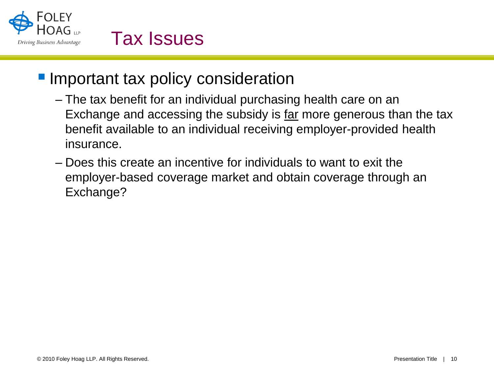

### **Important tax policy consideration**

- The tax benefit for an individual purchasing health care on an Exchange and accessing the subsidy is far more generous than the tax benefit available to an individual receiving employer-provided health insurance.
- Does this create an incentive for individuals to want to exit the employer-based coverage market and obtain coverage through an Exchange?